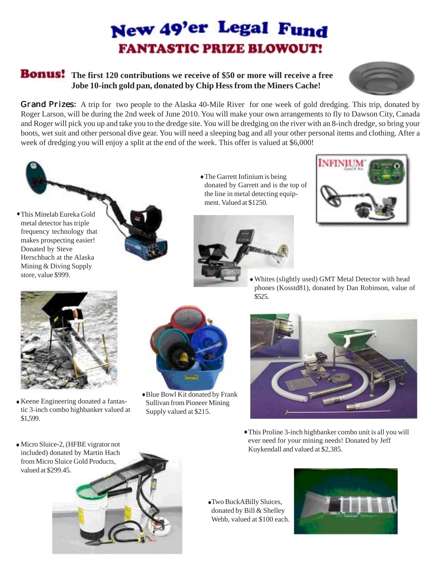## New 49'er Legal Fund **FANTASTIC PRIZE BLOWOUT!**

## **Honus!** The first 120 contributions we receive of \$50 or more will receive a free **Jobe 10-inch gold pan, donated by Chip Hess from the Miners Cache!**



**Grand Prizes:** A trip for two people to the Alaska 40-Mile River for one week of gold dredging. This trip, donated by Roger Larson, will be during the 2nd week of June 2010. You will make your own arrangements to fly to Dawson City, Canada and Roger will pick you up and take you to the dredge site. You will be dredging on the river with an 8-inch dredge, so bring your boots, wet suit and other personal dive gear. You will need a sleeping bag and all your other personal items and clothing. After a week of dredging you will enjoy a split at the end of the week. This offer is valued at \$6,000!





The Garrett Infinium is being donated by Garrett and is the top of the line in metal detecting equipment. Valued at \$1250.





Whites (slightly used) GMT Metal Detector with head phones (Kosstd81), donated by Dan Robinson, value of \$525.



Keene Engineering donated a fantastic 3-inch combo highbanker valued at \$1,599.



- Blue Bowl Kit donated by Frank Sullivan from Pioneer Mining Supply valued at \$215.
- 
- This Proline 3-inch highbanker combo unit is all you will ever need for your mining needs! Donated by Jeff Kuykendall and valued at \$2,385.

Micro Sluice-2, (HFBE vigrator not included) donated by Martin Hach from Micro Sluice Gold Products, valued at \$299.45.



Two BuckABilly Sluices, donated by Bill & Shelley Webb, valued at \$100 each.